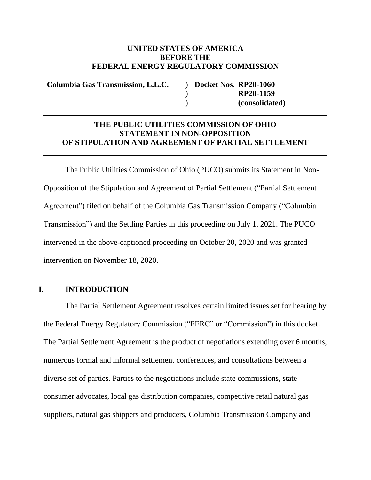#### **UNITED STATES OF AMERICA BEFORE THE FEDERAL ENERGY REGULATORY COMMISSION**

**Columbia Gas Transmission, L.L.C.** )

 $\lambda$  $\lambda$ **Docket Nos. RP20-1060 RP20-1159 (consolidated)**

### **THE PUBLIC UTILITIES COMMISSION OF OHIO STATEMENT IN NON-OPPOSITION OF STIPULATION AND AGREEMENT OF PARTIAL SETTLEMENT**

The Public Utilities Commission of Ohio (PUCO) submits its Statement in Non-Opposition of the Stipulation and Agreement of Partial Settlement ("Partial Settlement Agreement") filed on behalf of the Columbia Gas Transmission Company ("Columbia Transmission") and the Settling Parties in this proceeding on July 1, 2021. The PUCO intervened in the above-captioned proceeding on October 20, 2020 and was granted intervention on November 18, 2020.

#### **I. INTRODUCTION**

The Partial Settlement Agreement resolves certain limited issues set for hearing by the Federal Energy Regulatory Commission ("FERC" or "Commission") in this docket. The Partial Settlement Agreement is the product of negotiations extending over 6 months, numerous formal and informal settlement conferences, and consultations between a diverse set of parties. Parties to the negotiations include state commissions, state consumer advocates, local gas distribution companies, competitive retail natural gas suppliers, natural gas shippers and producers, Columbia Transmission Company and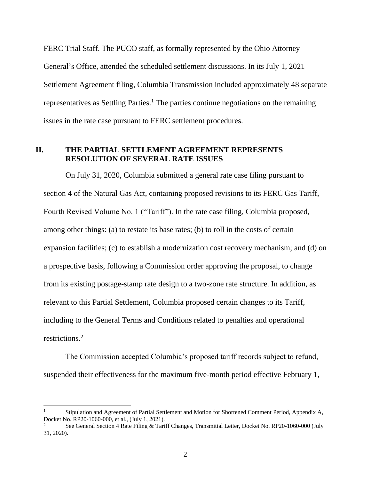FERC Trial Staff. The PUCO staff, as formally represented by the Ohio Attorney General's Office, attended the scheduled settlement discussions. In its July 1, 2021 Settlement Agreement filing, Columbia Transmission included approximately 48 separate representatives as Settling Parties.<sup>1</sup> The parties continue negotiations on the remaining issues in the rate case pursuant to FERC settlement procedures.

### **II. THE PARTIAL SETTLEMENT AGREEMENT REPRESENTS RESOLUTION OF SEVERAL RATE ISSUES**

On July 31, 2020, Columbia submitted a general rate case filing pursuant to section 4 of the Natural Gas Act, containing proposed revisions to its FERC Gas Tariff, Fourth Revised Volume No. 1 ("Tariff"). In the rate case filing, Columbia proposed, among other things: (a) to restate its base rates; (b) to roll in the costs of certain expansion facilities; (c) to establish a modernization cost recovery mechanism; and (d) on a prospective basis, following a Commission order approving the proposal, to change from its existing postage-stamp rate design to a two-zone rate structure. In addition, as relevant to this Partial Settlement, Columbia proposed certain changes to its Tariff, including to the General Terms and Conditions related to penalties and operational restrictions. 2

The Commission accepted Columbia's proposed tariff records subject to refund, suspended their effectiveness for the maximum five-month period effective February 1,

 $\overline{a}$ 

<sup>1</sup> Stipulation and Agreement of Partial Settlement and Motion for Shortened Comment Period, Appendix A, Docket No. RP20-1060-000, et al., (July 1, 2021).

<sup>2</sup> See General Section 4 Rate Filing & Tariff Changes, Transmittal Letter, Docket No. RP20-1060-000 (July 31, 2020).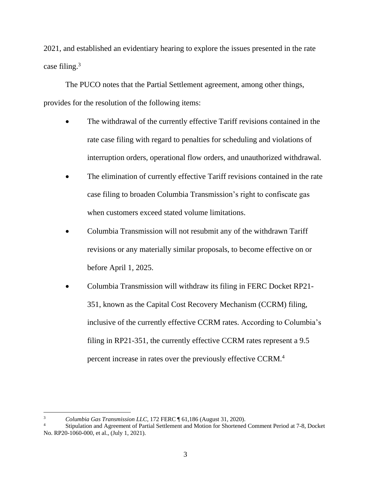2021, and established an evidentiary hearing to explore the issues presented in the rate case filing. $3$ 

The PUCO notes that the Partial Settlement agreement, among other things, provides for the resolution of the following items:

- The withdrawal of the currently effective Tariff revisions contained in the rate case filing with regard to penalties for scheduling and violations of interruption orders, operational flow orders, and unauthorized withdrawal.
- The elimination of currently effective Tariff revisions contained in the rate case filing to broaden Columbia Transmission's right to confiscate gas when customers exceed stated volume limitations.
- Columbia Transmission will not resubmit any of the withdrawn Tariff revisions or any materially similar proposals, to become effective on or before April 1, 2025.
- Columbia Transmission will withdraw its filing in FERC Docket RP21- 351, known as the Capital Cost Recovery Mechanism (CCRM) filing, inclusive of the currently effective CCRM rates. According to Columbia's filing in RP21-351, the currently effective CCRM rates represent a 9.5 percent increase in rates over the previously effective CCRM.<sup>4</sup>

 $\overline{a}$ 

<sup>3</sup> *Columbia Gas Transmission LLC,* 172 FERC ¶ 61,186 (August 31, 2020).

Stipulation and Agreement of Partial Settlement and Motion for Shortened Comment Period at 7-8, Docket No. RP20-1060-000, et al., (July 1, 2021).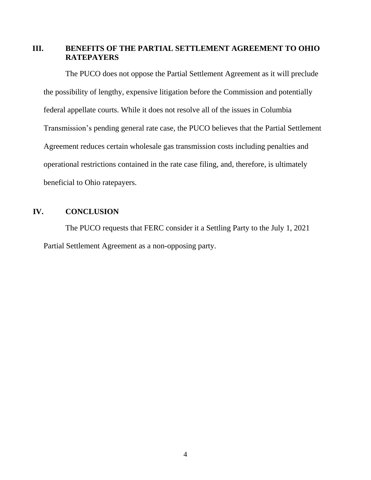## **III. BENEFITS OF THE PARTIAL SETTLEMENT AGREEMENT TO OHIO RATEPAYERS**

The PUCO does not oppose the Partial Settlement Agreement as it will preclude the possibility of lengthy, expensive litigation before the Commission and potentially federal appellate courts. While it does not resolve all of the issues in Columbia Transmission's pending general rate case, the PUCO believes that the Partial Settlement Agreement reduces certain wholesale gas transmission costs including penalties and operational restrictions contained in the rate case filing, and, therefore, is ultimately beneficial to Ohio ratepayers.

# **IV. CONCLUSION**

The PUCO requests that FERC consider it a Settling Party to the July 1, 2021 Partial Settlement Agreement as a non-opposing party.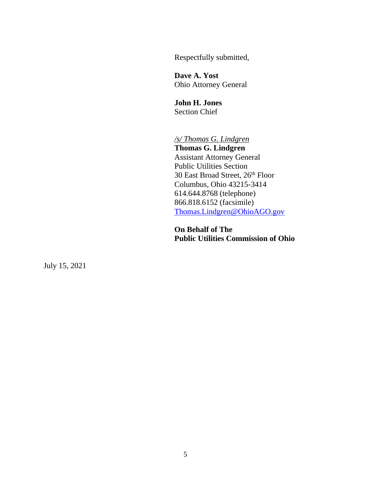Respectfully submitted,

**Dave A. Yost** Ohio Attorney General

**John H. Jones** Section Chief

*/s/ Thomas G. Lindgren* **Thomas G. Lindgren** Assistant Attorney General Public Utilities Section 30 East Broad Street, 26<sup>th</sup> Floor Columbus, Ohio 43215-3414 614.644.8768 (telephone) 866.818.6152 (facsimile) [Thomas.Lindgren@OhioAGO.gov](mailto:Thomas.Lindgren@OhioAGO.gov)

**On Behalf of The Public Utilities Commission of Ohio**

July 15, 2021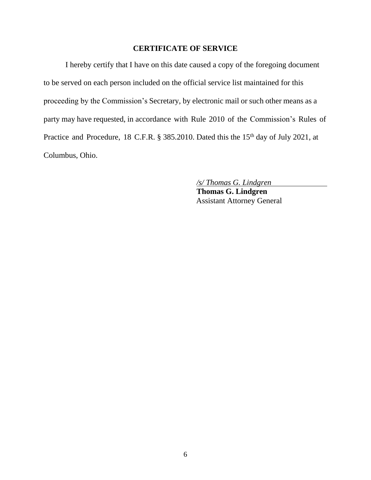## **CERTIFICATE OF SERVICE**

I hereby certify that I have on this date caused a copy of the foregoing document to be served on each person included on the official service list maintained for this proceeding by the Commission's Secretary, by electronic mail or such other means as a party may have requested, in accordance with Rule 2010 of the Commission's Rules of Practice and Procedure, 18 C.F.R. § 385.2010. Dated this the 15<sup>th</sup> day of July 2021, at Columbus, Ohio.

*/s/ Thomas G. Lindgren*

**Thomas G. Lindgren** Assistant Attorney General